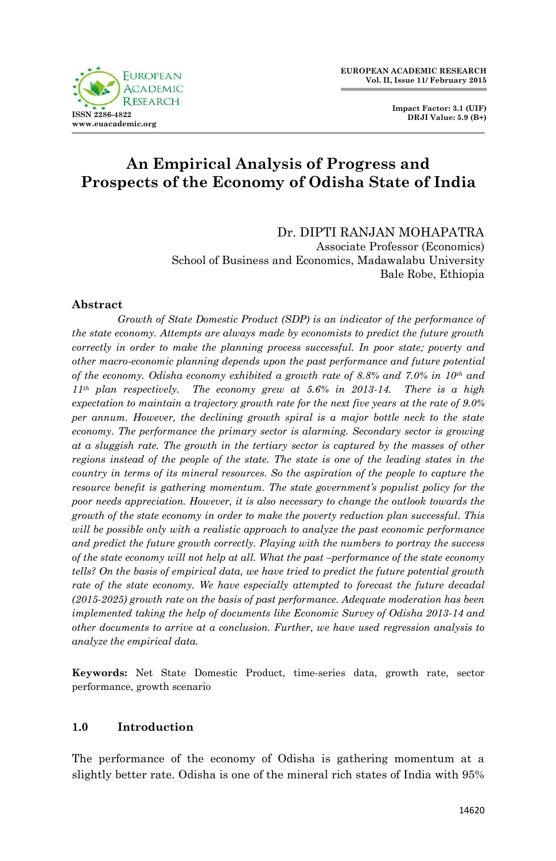



# **An Empirical Analysis of Progress and Prospects of the Economy of Odisha State of India**

Dr. DIPTI RANJAN MOHAPATRA Associate Professor (Economics) School of Business and Economics, Madawalabu University Bale Robe, Ethiopia

### **Abstract**

*Growth of State Domestic Product (SDP) is an indicator of the performance of the state economy. Attempts are always made by economists to predict the future growth correctly in order to make the planning process successful. In poor state; poverty and other macro-economic planning depends upon the past performance and future potential of the economy. Odisha economy exhibited a growth rate of 8.8% and 7.0% in 10th and 11th plan respectively. The economy grew at 5.6% in 2013-14. There is a high expectation to maintain a trajectory growth rate for the next five years at the rate of 9.0% per annum. However, the declining growth spiral is a major bottle neck to the state economy. The performance the primary sector is alarming. Secondary sector is growing at a sluggish rate. The growth in the tertiary sector is captured by the masses of other regions instead of the people of the state. The state is one of the leading states in the country in terms of its mineral resources. So the aspiration of the people to capture the resource benefit is gathering momentum. The state government's populist policy for the poor needs appreciation. However, it is also necessary to change the outlook towards the growth of the state economy in order to make the poverty reduction plan successful. This will be possible only with a realistic approach to analyze the past economic performance and predict the future growth correctly. Playing with the numbers to portray the success of the state economy will not help at all. What the past –performance of the state economy tells? On the basis of empirical data, we have tried to predict the future potential growth rate of the state economy. We have especially attempted to forecast the future decadal (2015-2025) growth rate on the basis of past performance. Adequate moderation has been implemented taking the help of documents like Economic Survey of Odisha 2013-14 and other documents to arrive at a conclusion. Further, we have used regression analysis to analyze the empirical data.* 

**Keywords:** Net State Domestic Product, time-series data, growth rate, sector performance, growth scenario

### **1.0 Introduction**

The performance of the economy of Odisha is gathering momentum at a slightly better rate. Odisha is one of the mineral rich states of India with 95%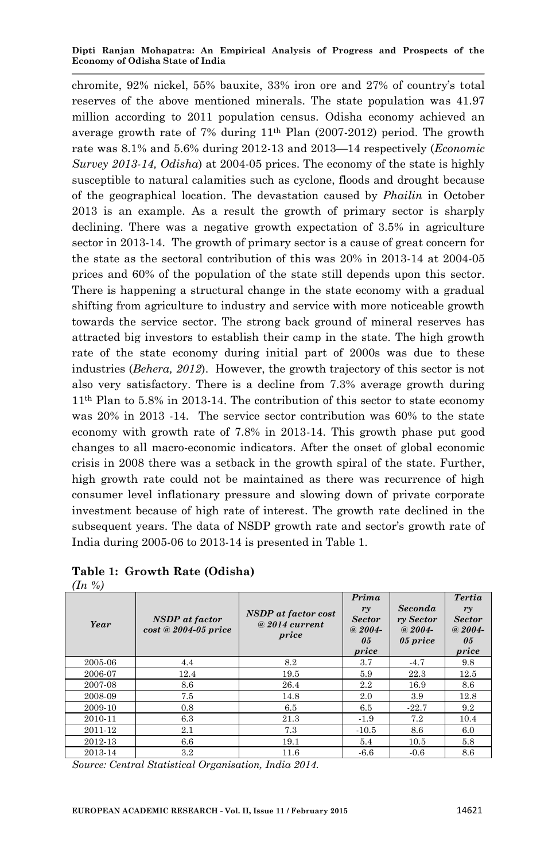chromite, 92% nickel, 55% bauxite, 33% iron ore and 27% of country's total reserves of the above mentioned minerals. The state population was 41.97 million according to 2011 population census. Odisha economy achieved an average growth rate of 7% during 11th Plan (2007-2012) period. The growth rate was 8.1% and 5.6% during 2012-13 and 2013—14 respectively (*Economic Survey 2013-14, Odisha*) at 2004-05 prices. The economy of the state is highly susceptible to natural calamities such as cyclone, floods and drought because of the geographical location. The devastation caused by *Phailin* in October 2013 is an example. As a result the growth of primary sector is sharply declining. There was a negative growth expectation of 3.5% in agriculture sector in 2013-14. The growth of primary sector is a cause of great concern for the state as the sectoral contribution of this was 20% in 2013-14 at 2004-05 prices and 60% of the population of the state still depends upon this sector. There is happening a structural change in the state economy with a gradual shifting from agriculture to industry and service with more noticeable growth towards the service sector. The strong back ground of mineral reserves has attracted big investors to establish their camp in the state. The high growth rate of the state economy during initial part of 2000s was due to these industries (*Behera, 2012*). However, the growth trajectory of this sector is not also very satisfactory. There is a decline from 7.3% average growth during 11th Plan to 5.8% in 2013-14. The contribution of this sector to state economy was 20% in 2013 -14. The service sector contribution was 60% to the state economy with growth rate of 7.8% in 2013-14. This growth phase put good changes to all macro-economic indicators. After the onset of global economic crisis in 2008 there was a setback in the growth spiral of the state. Further, high growth rate could not be maintained as there was recurrence of high consumer level inflationary pressure and slowing down of private corporate investment because of high rate of interest. The growth rate declined in the subsequent years. The data of NSDP growth rate and sector's growth rate of India during 2005-06 to 2013-14 is presented in Table 1.

# **Table 1: Growth Rate (Odisha)**

| Year    | NSDP at factor<br>cost @ 2004-05 price | NSDP at factor cost<br>$@2014$ current<br>price | Prima<br>ry<br><b>Sector</b><br>$@2004-$<br>05<br>price | Seconda<br>ry Sector<br>$@2004-$<br>05 price | <b>Tertia</b><br>ry<br><b>Sector</b><br>$@2004-$<br>0.5<br>price |
|---------|----------------------------------------|-------------------------------------------------|---------------------------------------------------------|----------------------------------------------|------------------------------------------------------------------|
| 2005-06 | 4.4                                    | 8.2                                             | 3.7                                                     | $-4.7$                                       | 9.8                                                              |
| 2006-07 | 12.4                                   | 19.5                                            | 5.9                                                     | 22.3                                         | 12.5                                                             |
| 2007-08 | 8.6                                    | 26.4                                            | 2.2                                                     | 16.9                                         | 8.6                                                              |
| 2008-09 | 7.5                                    | 14.8                                            | 2.0                                                     | 3.9                                          | 12.8                                                             |
| 2009-10 | 0.8                                    | 6.5                                             | 6.5                                                     | $-22.7$                                      | 9.2                                                              |
| 2010-11 | 6.3                                    | 21.3                                            | $-1.9$                                                  | 7.2                                          | 10.4                                                             |
| 2011-12 | 2.1                                    | 7.3                                             | $-10.5$                                                 | 8.6                                          | 6.0                                                              |
| 2012-13 | 6.6                                    | 19.1                                            | 5.4                                                     | 10.5                                         | 5.8                                                              |
| 2013-14 | 3.2                                    | 11.6                                            | $-6.6$                                                  | $-0.6$                                       | 8.6                                                              |

*(In %)*

*Source: Central Statistical Organisation, India 2014.*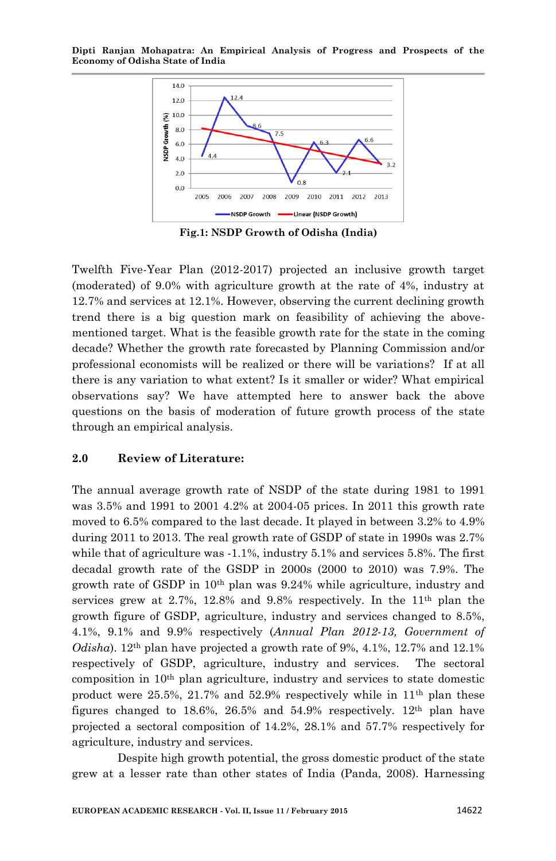

**Fig.1: NSDP Growth of Odisha (India)**

Twelfth Five-Year Plan (2012-2017) projected an inclusive growth target (moderated) of 9.0% with agriculture growth at the rate of 4%, industry at 12.7% and services at 12.1%. However, observing the current declining growth trend there is a big question mark on feasibility of achieving the abovementioned target. What is the feasible growth rate for the state in the coming decade? Whether the growth rate forecasted by Planning Commission and/or professional economists will be realized or there will be variations? If at all there is any variation to what extent? Is it smaller or wider? What empirical observations say? We have attempted here to answer back the above questions on the basis of moderation of future growth process of the state through an empirical analysis.

#### **2.0 Review of Literature:**

The annual average growth rate of NSDP of the state during 1981 to 1991 was 3.5% and 1991 to 2001 4.2% at 2004-05 prices. In 2011 this growth rate moved to 6.5% compared to the last decade. It played in between 3.2% to 4.9% during 2011 to 2013. The real growth rate of GSDP of state in 1990s was 2.7% while that of agriculture was -1.1%, industry 5.1% and services 5.8%. The first decadal growth rate of the GSDP in 2000s (2000 to 2010) was 7.9%. The growth rate of GSDP in  $10<sup>th</sup>$  plan was  $9.24%$  while agriculture, industry and services grew at 2.7%, 12.8% and 9.8% respectively. In the 11th plan the growth figure of GSDP, agriculture, industry and services changed to 8.5%, 4.1%, 9.1% and 9.9% respectively (*Annual Plan 2012-13, Government of Odisha*). 12th plan have projected a growth rate of 9%, 4.1%, 12.7% and 12.1% respectively of GSDP, agriculture, industry and services. The sectoral composition in  $10<sup>th</sup>$  plan agriculture, industry and services to state domestic product were  $25.5\%$ ,  $21.7\%$  and  $52.9\%$  respectively while in  $11<sup>th</sup>$  plan these figures changed to  $18.6\%$ ,  $26.5\%$  and  $54.9\%$  respectively.  $12<sup>th</sup>$  plan have projected a sectoral composition of 14.2%, 28.1% and 57.7% respectively for agriculture, industry and services.

Despite high growth potential, the gross domestic product of the state grew at a lesser rate than other states of India (Panda, 2008). Harnessing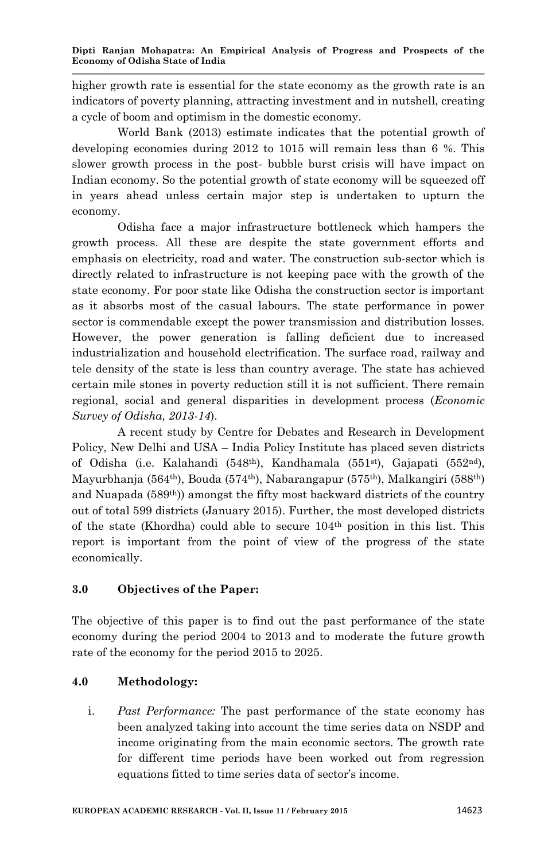higher growth rate is essential for the state economy as the growth rate is an indicators of poverty planning, attracting investment and in nutshell, creating a cycle of boom and optimism in the domestic economy.

World Bank (2013) estimate indicates that the potential growth of developing economies during 2012 to 1015 will remain less than 6 %. This slower growth process in the post- bubble burst crisis will have impact on Indian economy. So the potential growth of state economy will be squeezed off in years ahead unless certain major step is undertaken to upturn the economy.

Odisha face a major infrastructure bottleneck which hampers the growth process. All these are despite the state government efforts and emphasis on electricity, road and water. The construction sub-sector which is directly related to infrastructure is not keeping pace with the growth of the state economy. For poor state like Odisha the construction sector is important as it absorbs most of the casual labours. The state performance in power sector is commendable except the power transmission and distribution losses. However, the power generation is falling deficient due to increased industrialization and household electrification. The surface road, railway and tele density of the state is less than country average. The state has achieved certain mile stones in poverty reduction still it is not sufficient. There remain regional, social and general disparities in development process (*Economic Survey of Odisha, 2013-14*).

A recent study by Centre for Debates and Research in Development Policy, New Delhi and USA – India Policy Institute has placed seven districts of Odisha (i.e. Kalahandi (548<sup>th</sup>), Kandhamala (551<sup>st</sup>), Gajapati (552<sup>nd</sup>), Mayurbhanja (564<sup>th</sup>), Bouda (574<sup>th</sup>), Nabarangapur (575<sup>th</sup>), Malkangiri (588<sup>th</sup>) and Nuapada  $(589<sup>th</sup>)$  amongst the fifty most backward districts of the country out of total 599 districts (January 2015). Further, the most developed districts of the state (Khordha) could able to secure  $104<sup>th</sup>$  position in this list. This report is important from the point of view of the progress of the state economically.

## **3.0 Objectives of the Paper:**

The objective of this paper is to find out the past performance of the state economy during the period 2004 to 2013 and to moderate the future growth rate of the economy for the period 2015 to 2025.

## **4.0 Methodology:**

i. *Past Performance:* The past performance of the state economy has been analyzed taking into account the time series data on NSDP and income originating from the main economic sectors. The growth rate for different time periods have been worked out from regression equations fitted to time series data of sector's income.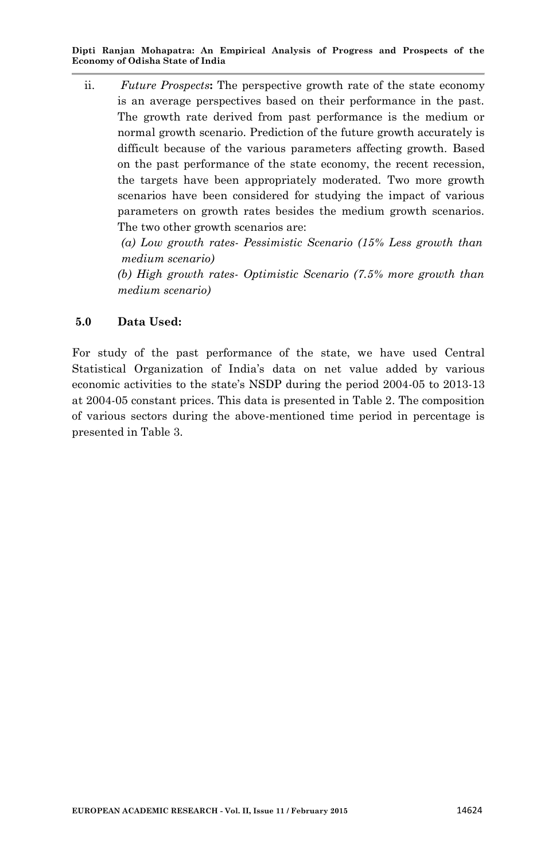ii. *Future Prospects***:** The perspective growth rate of the state economy is an average perspectives based on their performance in the past. The growth rate derived from past performance is the medium or normal growth scenario. Prediction of the future growth accurately is difficult because of the various parameters affecting growth. Based on the past performance of the state economy, the recent recession, the targets have been appropriately moderated. Two more growth scenarios have been considered for studying the impact of various parameters on growth rates besides the medium growth scenarios. The two other growth scenarios are:

*(a) Low growth rates- Pessimistic Scenario (15% Less growth than medium scenario)*

*(b) High growth rates- Optimistic Scenario (7.5% more growth than medium scenario)*

# **5.0 Data Used:**

For study of the past performance of the state, we have used Central Statistical Organization of India's data on net value added by various economic activities to the state's NSDP during the period 2004-05 to 2013-13 at 2004-05 constant prices. This data is presented in Table 2. The composition of various sectors during the above-mentioned time period in percentage is presented in Table 3.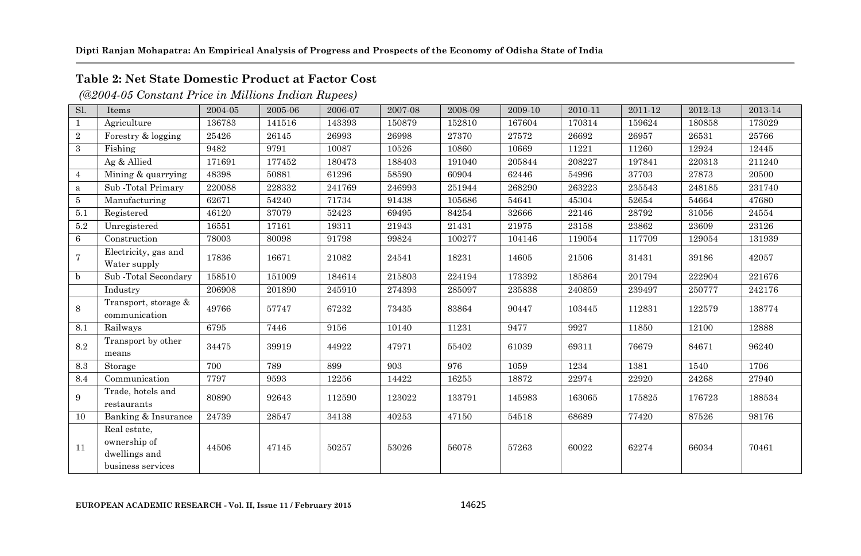# **Table 2: Net State Domestic Product at Factor Cost**

*(@2004-05 Constant Price in Millions Indian Rupees)*

| Sl.             | Items                                                              | 2004-05 | 2005-06 | 2006-07 | 2007-08 | 2008-09 | 2009-10 | 2010-11 | 2011-12 | 2012-13 | 2013-14 |
|-----------------|--------------------------------------------------------------------|---------|---------|---------|---------|---------|---------|---------|---------|---------|---------|
| $\mathbf{1}$    | Agriculture                                                        | 136783  | 141516  | 143393  | 150879  | 152810  | 167604  | 170314  | 159624  | 180858  | 173029  |
| $\overline{2}$  | Forestry & logging                                                 | 25426   | 26145   | 26993   | 26998   | 27370   | 27572   | 26692   | 26957   | 26531   | 25766   |
| 3               | Fishing                                                            | 9482    | 9791    | 10087   | 10526   | 10860   | 10669   | 11221   | 11260   | 12924   | 12445   |
|                 | Ag & Allied                                                        | 171691  | 177452  | 180473  | 188403  | 191040  | 205844  | 208227  | 197841  | 220313  | 211240  |
| $\overline{4}$  | Mining & quarrying                                                 | 48398   | 50881   | 61296   | 58590   | 60904   | 62446   | 54996   | 37703   | 27873   | 20500   |
| a               | Sub-Total Primary                                                  | 220088  | 228332  | 241769  | 246993  | 251944  | 268290  | 263223  | 235543  | 248185  | 231740  |
| 5               | Manufacturing                                                      | 62671   | 54240   | 71734   | 91438   | 105686  | 54641   | 45304   | 52654   | 54664   | 47680   |
| 5.1             | Registered                                                         | 46120   | 37079   | 52423   | 69495   | 84254   | 32666   | 22146   | 28792   | 31056   | 24554   |
| 5.2             | Unregistered                                                       | 16551   | 17161   | 19311   | 21943   | 21431   | 21975   | 23158   | 23862   | 23609   | 23126   |
| 6               | Construction                                                       | 78003   | 80098   | 91798   | 99824   | 100277  | 104146  | 119054  | 117709  | 129054  | 131939  |
| $\overline{7}$  | Electricity, gas and<br>Water supply                               | 17836   | 16671   | 21082   | 24541   | 18231   | 14605   | 21506   | 31431   | 39186   | 42057   |
| b               | Sub-Total Secondary                                                | 158510  | 151009  | 184614  | 215803  | 224194  | 173392  | 185864  | 201794  | 222904  | 221676  |
|                 | Industry                                                           | 206908  | 201890  | 245910  | 274393  | 285097  | 235838  | 240859  | 239497  | 250777  | 242176  |
| 8               | Transport, storage &<br>communication                              | 49766   | 57747   | 67232   | 73435   | 83864   | 90447   | 103445  | 112831  | 122579  | 138774  |
| 8.1             | Railways                                                           | 6795    | 7446    | 9156    | 10140   | 11231   | 9477    | 9927    | 11850   | 12100   | 12888   |
| 8.2             | Transport by other<br>means                                        | 34475   | 39919   | 44922   | 47971   | 55402   | 61039   | 69311   | 76679   | 84671   | 96240   |
| 8.3             | Storage                                                            | 700     | 789     | 899     | 903     | 976     | 1059    | 1234    | 1381    | 1540    | 1706    |
| 8.4             | Communication                                                      | 7797    | 9593    | 12256   | 14422   | 16255   | 18872   | 22974   | 22920   | 24268   | 27940   |
| 9               | Trade, hotels and<br>restaurants                                   | 80890   | 92643   | 112590  | 123022  | 133791  | 145983  | 163065  | 175825  | 176723  | 188534  |
| 10 <sup>1</sup> | Banking & Insurance                                                | 24739   | 28547   | 34138   | 40253   | 47150   | 54518   | 68689   | 77420   | 87526   | 98176   |
| 11              | Real estate,<br>ownership of<br>dwellings and<br>business services | 44506   | 47145   | 50257   | 53026   | 56078   | 57263   | 60022   | 62274   | 66034   | 70461   |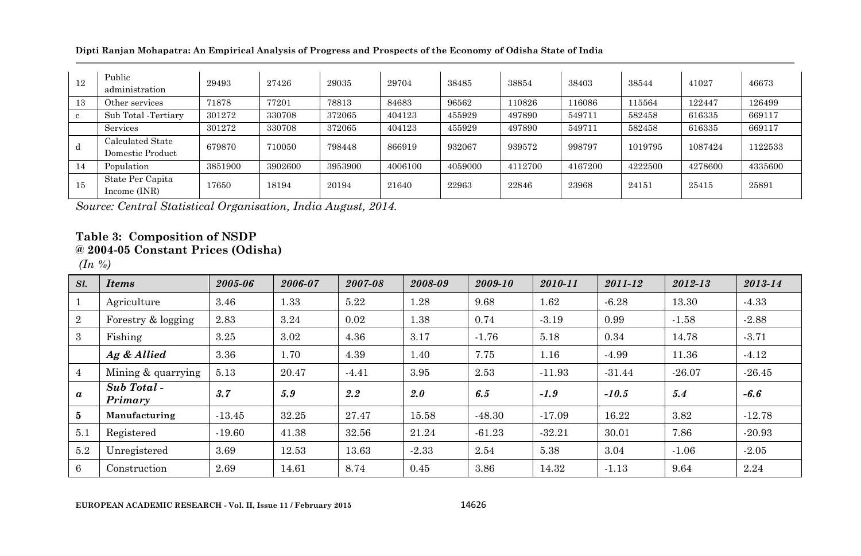**Dipti Ranjan Mohapatra: An Empirical Analysis of Progress and Prospects of the Economy of Odisha State of India**

| 12           | Public<br>administration             | 29493   | 27426   | 29035   | 29704   | 38485   | 38854   | 38403   | 38544   | 41027   | 46673   |
|--------------|--------------------------------------|---------|---------|---------|---------|---------|---------|---------|---------|---------|---------|
| 13           | Other services                       | 71878   | 77201   | 78813   | 84683   | 96562   | 110826  | 116086  | 115564  | 122447  | 126499  |
| $\mathbf{c}$ | Sub Total - Tertiary                 | 301272  | 330708  | 372065  | 404123  | 455929  | 497890  | 549711  | 582458  | 616335  | 669117  |
|              | Services                             | 301272  | 330708  | 372065  | 404123  | 455929  | 497890  | 549711  | 582458  | 616335  | 669117  |
| d            | Calculated State<br>Domestic Product | 679870  | 710050  | 798448  | 866919  | 932067  | 939572  | 998797  | 1019795 | 1087424 | 1122533 |
| 14           | Population                           | 3851900 | 3902600 | 3953900 | 4006100 | 4059000 | 4112700 | 4167200 | 4222500 | 4278600 | 4335600 |
| 15           | State Per Capita<br>Income (INR)     | 17650   | 18194   | 20194   | 21640   | 22963   | 22846   | 23968   | 24151   | 25415   | 25891   |

*Source: Central Statistical Organisation, India August, 2014.*

# **Table 3: Composition of NSDP @ 2004-05 Constant Prices (Odisha)**

*(In %)*

| Sl.              | <b>Items</b>          | 2005-06  | 2006-07 | 2007-08 | 2008-09 | 2009-10  | 2010-11  | 2011-12  | 2012-13  | 2013-14  |
|------------------|-----------------------|----------|---------|---------|---------|----------|----------|----------|----------|----------|
|                  | Agriculture           | 3.46     | 1.33    | 5.22    | 1.28    | 9.68     | 1.62     | $-6.28$  | 13.30    | $-4.33$  |
| $\overline{2}$   | Forestry & logging    | 2.83     | 3.24    | 0.02    | 1.38    | 0.74     | $-3.19$  | 0.99     | $-1.58$  | $-2.88$  |
| 3                | Fishing               | 3.25     | 3.02    | 4.36    | 3.17    | $-1.76$  | 5.18     | 0.34     | 14.78    | $-3.71$  |
|                  | Ag & Allied           | 3.36     | 1.70    | 4.39    | 1.40    | 7.75     | 1.16     | $-4.99$  | 11.36    | $-4.12$  |
| $\overline{4}$   | Mining & quarrying    | 5.13     | 20.47   | $-4.41$ | 3.95    | 2.53     | $-11.93$ | $-31.44$ | $-26.07$ | $-26.45$ |
| $\boldsymbol{a}$ | Sub Total-<br>Primary | 3.7      | 5.9     | 2.2     | 2.0     | 6.5      | $-1.9$   | $-10.5$  | 5.4      | $-6.6$   |
| 5                | Manufacturing         | $-13.45$ | 32.25   | 27.47   | 15.58   | $-48.30$ | $-17.09$ | 16.22    | 3.82     | $-12.78$ |
| 5.1              | Registered            | $-19.60$ | 41.38   | 32.56   | 21.24   | $-61.23$ | $-32.21$ | 30.01    | 7.86     | $-20.93$ |
| 5.2              | Unregistered          | 3.69     | 12.53   | 13.63   | $-2.33$ | 2.54     | 5.38     | 3.04     | $-1.06$  | $-2.05$  |
| 6                | Construction          | 2.69     | 14.61   | 8.74    | 0.45    | 3.86     | 14.32    | $-1.13$  | 9.64     | 2.24     |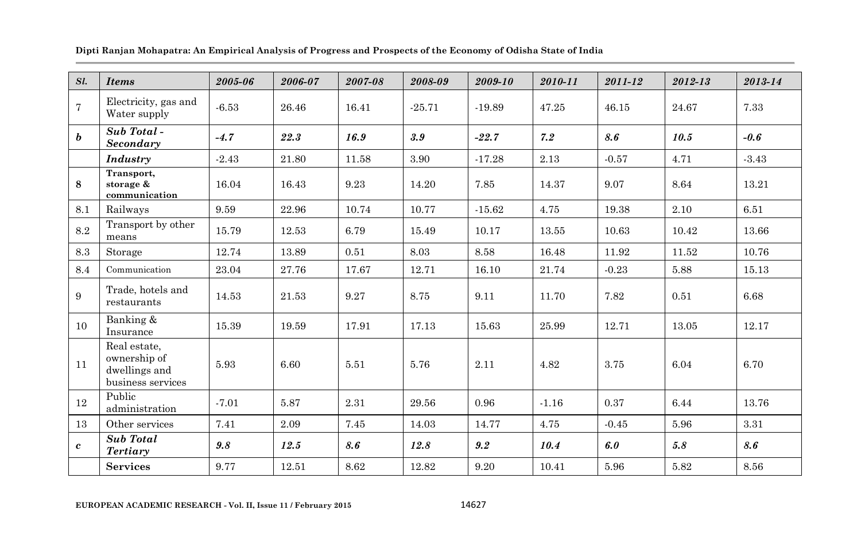| Sl.            | <b>Items</b>                                                       | 2005-06 | 2006-07 | 2007-08 | 2008-09  | $2009 - 10$ | 2010-11 | 2011-12 | 2012-13 | 2013-14 |
|----------------|--------------------------------------------------------------------|---------|---------|---------|----------|-------------|---------|---------|---------|---------|
| $\overline{7}$ | Electricity, gas and<br>Water supply                               | $-6.53$ | 26.46   | 16.41   | $-25.71$ | $-19.89$    | 47.25   | 46.15   | 24.67   | 7.33    |
| b              | Sub Total-<br>Secondary                                            | $-4.7$  | 22.3    | 16.9    | 3.9      | $-22.7$     | 7.2     | 8.6     | 10.5    | $-0.6$  |
|                | <b>Industry</b>                                                    | $-2.43$ | 21.80   | 11.58   | 3.90     | $-17.28$    | 2.13    | $-0.57$ | 4.71    | $-3.43$ |
| 8              | Transport,<br>storage &<br>communication                           | 16.04   | 16.43   | 9.23    | 14.20    | 7.85        | 14.37   | 9.07    | 8.64    | 13.21   |
| 8.1            | Railways                                                           | 9.59    | 22.96   | 10.74   | 10.77    | $-15.62$    | 4.75    | 19.38   | 2.10    | 6.51    |
| 8.2            | Transport by other<br>means                                        | 15.79   | 12.53   | 6.79    | 15.49    | 10.17       | 13.55   | 10.63   | 10.42   | 13.66   |
| 8.3            | Storage                                                            | 12.74   | 13.89   | 0.51    | 8.03     | 8.58        | 16.48   | 11.92   | 11.52   | 10.76   |
| 8.4            | Communication                                                      | 23.04   | 27.76   | 17.67   | 12.71    | 16.10       | 21.74   | $-0.23$ | 5.88    | 15.13   |
| 9              | Trade, hotels and<br>restaurants                                   | 14.53   | 21.53   | 9.27    | 8.75     | 9.11        | 11.70   | 7.82    | 0.51    | 6.68    |
| 10             | Banking &<br>Insurance                                             | 15.39   | 19.59   | 17.91   | 17.13    | 15.63       | 25.99   | 12.71   | 13.05   | 12.17   |
| 11             | Real estate,<br>ownership of<br>dwellings and<br>business services | 5.93    | 6.60    | 5.51    | 5.76     | 2.11        | 4.82    | 3.75    | 6.04    | 6.70    |
| 12             | Public<br>administration                                           | $-7.01$ | 5.87    | 2.31    | 29.56    | 0.96        | $-1.16$ | 0.37    | 6.44    | 13.76   |
| 13             | Other services                                                     | 7.41    | 2.09    | 7.45    | 14.03    | 14.77       | 4.75    | $-0.45$ | 5.96    | 3.31    |
| $\mathbf{c}$   | <b>Sub</b> Total<br>Tertiary                                       | 9.8     | 12.5    | 8.6     | 12.8     | 9.2         | 10.4    | 6.0     | 5.8     | 8.6     |
|                | <b>Services</b>                                                    | 9.77    | 12.51   | 8.62    | 12.82    | 9.20        | 10.41   | 5.96    | 5.82    | 8.56    |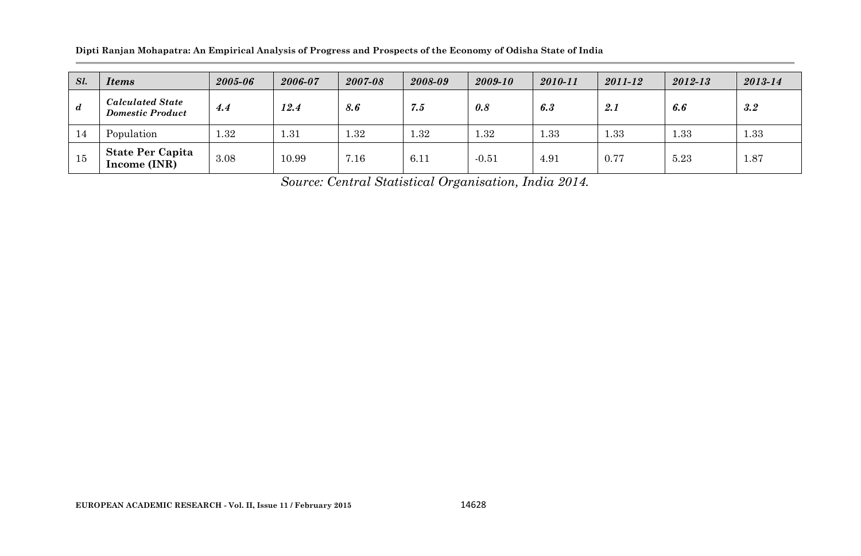**Dipti Ranjan Mohapatra: An Empirical Analysis of Progress and Prospects of the Economy of Odisha State of India**

| Sl.              | <b>Items</b>                                       | 2005-06 | 2006-07 | 2007-08 | 2008-09  | 2009-10 | 2010-11 | 2011-12 | 2012-13 | 2013-14 |
|------------------|----------------------------------------------------|---------|---------|---------|----------|---------|---------|---------|---------|---------|
| $\boldsymbol{d}$ | <b>Calculated State</b><br><b>Domestic Product</b> | 4.4     | 12.4    | 8.6     | 7.5      | 0.8     | 6.3     | 2.1     | 6.6     | 3.2     |
| 14               | Population                                         | 1.32    | 1.31    | 1.32    | $1.32\,$ | 1.32    | .33     | 1.33    | 1.33    | 1.33    |
| 15               | <b>State Per Capita</b><br>Income (INR)            | 3.08    | 10.99   | 7.16    | 6.11     | $-0.51$ | 4.91    | 0.77    | 5.23    | 1.87    |

*Source: Central Statistical Organisation, India 2014.*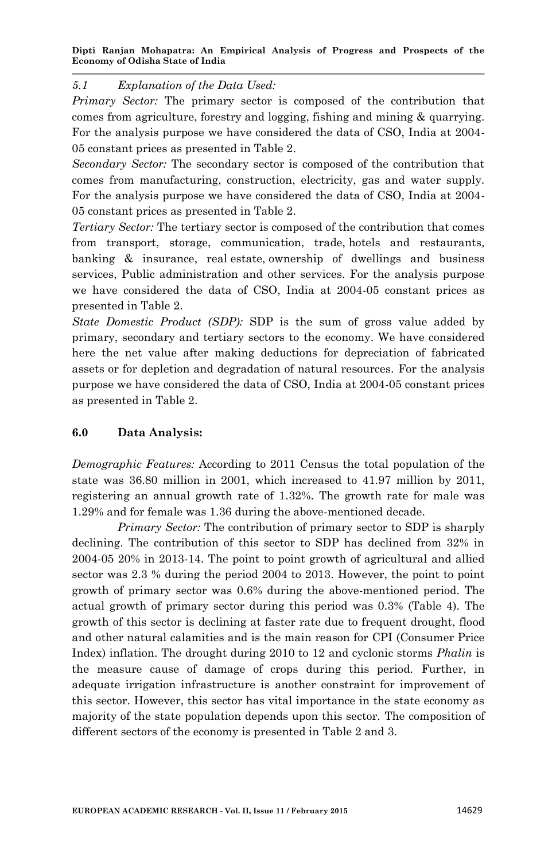### *5.1 Explanation of the Data Used:*

*Primary Sector:* The primary sector is composed of the contribution that comes from agriculture, forestry and logging, fishing and mining & quarrying. For the analysis purpose we have considered the data of CSO, India at 2004- 05 constant prices as presented in Table 2.

*Secondary Sector:* The secondary sector is composed of the contribution that comes from manufacturing, construction, electricity, gas and water supply. For the analysis purpose we have considered the data of CSO, India at 2004- 05 constant prices as presented in Table 2.

*Tertiary Sector:* The tertiary sector is composed of the contribution that comes from transport, storage, communication, trade, hotels and restaurants, banking & insurance, real estate, ownership of dwellings and business services, Public administration and other services. For the analysis purpose we have considered the data of CSO, India at 2004-05 constant prices as presented in Table 2.

*State Domestic Product (SDP):* SDP is the sum of gross value added by primary, secondary and tertiary sectors to the economy. We have considered here the net value after making deductions for depreciation of fabricated assets or for depletion and degradation of natural resources. For the analysis purpose we have considered the data of CSO, India at 2004-05 constant prices as presented in Table 2.

## **6.0 Data Analysis:**

*Demographic Features:* According to 2011 Census the total population of the state was 36.80 million in 2001, which increased to 41.97 million by 2011, registering an annual growth rate of 1.32%. The growth rate for male was 1.29% and for female was 1.36 during the above-mentioned decade.

*Primary Sector:* The contribution of primary sector to SDP is sharply declining. The contribution of this sector to SDP has declined from 32% in 2004-05 20% in 2013-14. The point to point growth of agricultural and allied sector was 2.3 % during the period 2004 to 2013. However, the point to point growth of primary sector was 0.6% during the above-mentioned period. The actual growth of primary sector during this period was 0.3% (Table 4). The growth of this sector is declining at faster rate due to frequent drought, flood and other natural calamities and is the main reason for CPI (Consumer Price Index) inflation. The drought during 2010 to 12 and cyclonic storms *Phalin* is the measure cause of damage of crops during this period. Further, in adequate irrigation infrastructure is another constraint for improvement of this sector. However, this sector has vital importance in the state economy as majority of the state population depends upon this sector. The composition of different sectors of the economy is presented in Table 2 and 3.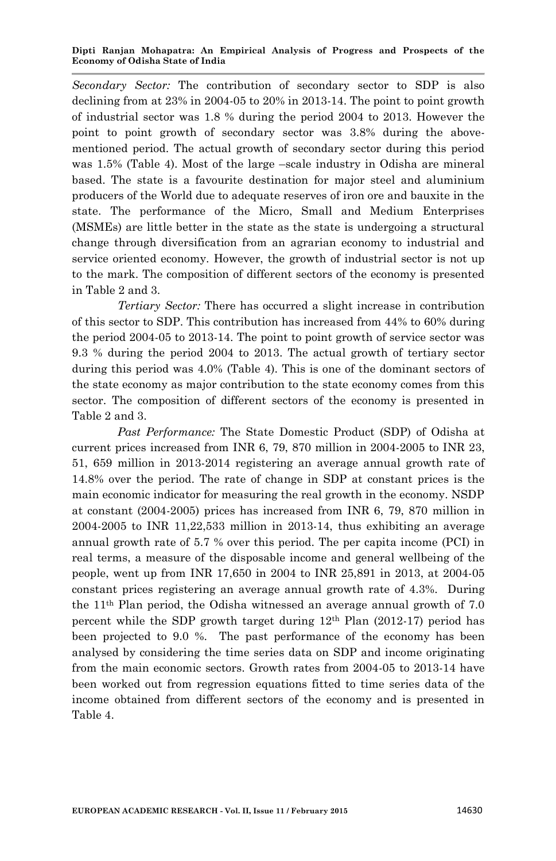*Secondary Sector:* The contribution of secondary sector to SDP is also declining from at 23% in 2004-05 to 20% in 2013-14. The point to point growth of industrial sector was 1.8 % during the period 2004 to 2013. However the point to point growth of secondary sector was 3.8% during the abovementioned period. The actual growth of secondary sector during this period was 1.5% (Table 4). Most of the large –scale industry in Odisha are mineral based. The state is a favourite destination for major steel and aluminium producers of the World due to adequate reserves of iron ore and bauxite in the state. The performance of the Micro, Small and Medium Enterprises (MSMEs) are little better in the state as the state is undergoing a structural change through diversification from an agrarian economy to industrial and service oriented economy. However, the growth of industrial sector is not up to the mark. The composition of different sectors of the economy is presented in Table 2 and 3.

*Tertiary Sector:* There has occurred a slight increase in contribution of this sector to SDP. This contribution has increased from 44% to 60% during the period 2004-05 to 2013-14. The point to point growth of service sector was 9.3 % during the period 2004 to 2013. The actual growth of tertiary sector during this period was 4.0% (Table 4). This is one of the dominant sectors of the state economy as major contribution to the state economy comes from this sector. The composition of different sectors of the economy is presented in Table 2 and 3.

*Past Performance:* The State Domestic Product (SDP) of Odisha at current prices increased from INR 6, 79, 870 million in 2004-2005 to INR 23, 51, 659 million in 2013-2014 registering an average annual growth rate of 14.8% over the period. The rate of change in SDP at constant prices is the main economic indicator for measuring the real growth in the economy. NSDP at constant (2004-2005) prices has increased from INR 6, 79, 870 million in  $2004-2005$  to INR 11,22,533 million in 2013-14, thus exhibiting an average annual growth rate of 5.7 % over this period. The per capita income (PCI) in real terms, a measure of the disposable income and general wellbeing of the people, went up from INR 17,650 in 2004 to INR 25,891 in 2013, at 2004-05 constant prices registering an average annual growth rate of 4.3%. During the 11th Plan period, the Odisha witnessed an average annual growth of 7.0 percent while the SDP growth target during  $12<sup>th</sup>$  Plan (2012-17) period has been projected to 9.0 %. The past performance of the economy has been analysed by considering the time series data on SDP and income originating from the main economic sectors. Growth rates from 2004-05 to 2013-14 have been worked out from regression equations fitted to time series data of the income obtained from different sectors of the economy and is presented in Table 4.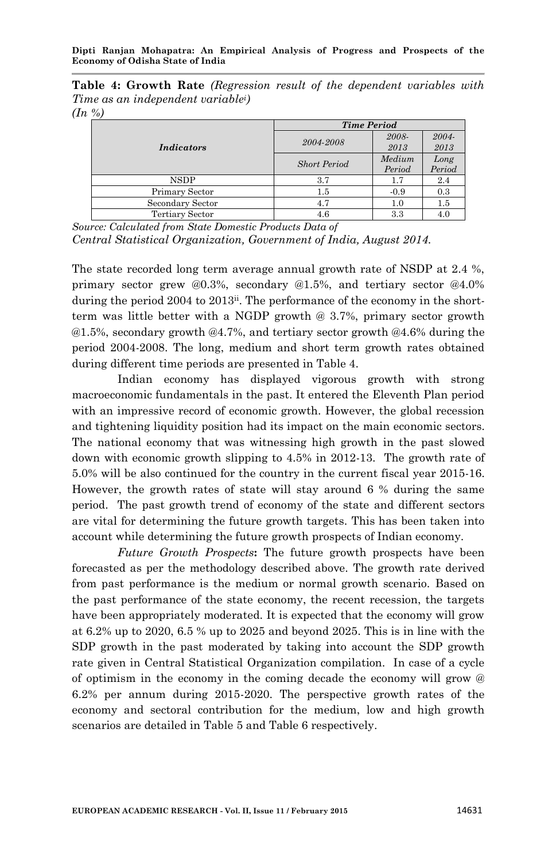**Table 4: Growth Rate** *(Regression result of the dependent variables with Time as an independent variablei)*

*(In %)*

|                   | <b>Time Period</b>  |        |        |  |  |  |
|-------------------|---------------------|--------|--------|--|--|--|
|                   | 2004-2008           | 2008-  | 2004-  |  |  |  |
| <i>Indicators</i> |                     | 2013   | 2013   |  |  |  |
|                   | <b>Short Period</b> | Medium | Long   |  |  |  |
|                   |                     | Period | Period |  |  |  |
| <b>NSDP</b>       | 3.7                 | 1.7    | 2.4    |  |  |  |
| Primary Sector    | 1.5                 | $-0.9$ | 0.3    |  |  |  |
| Secondary Sector  | 4.7                 | 1.0    | 1.5    |  |  |  |
| Tertiary Sector   | 4.6                 | 3.3    | 4.0    |  |  |  |

*Source: Calculated from State Domestic Products Data of Central Statistical Organization, Government of India, August 2014.*

The state recorded long term average annual growth rate of NSDP at 2.4 %, primary sector grew @0.3%, secondary @1.5%, and tertiary sector @4.0% during the period 2004 to 2013<sup>ii</sup>. The performance of the economy in the shortterm was little better with a NGDP growth @ 3.7%, primary sector growth @1.5%, secondary growth @4.7%, and tertiary sector growth @4.6% during the period 2004-2008. The long, medium and short term growth rates obtained during different time periods are presented in Table 4.

Indian economy has displayed vigorous growth with strong macroeconomic fundamentals in the past. It entered the Eleventh Plan period with an impressive record of economic growth. However, the global recession and tightening liquidity position had its impact on the main economic sectors. The national economy that was witnessing high growth in the past slowed down with economic growth slipping to 4.5% in 2012-13. The growth rate of 5.0% will be also continued for the country in the current fiscal year 2015-16. However, the growth rates of state will stay around 6 % during the same period. The past growth trend of economy of the state and different sectors are vital for determining the future growth targets. This has been taken into account while determining the future growth prospects of Indian economy.

*Future Growth Prospects***:** The future growth prospects have been forecasted as per the methodology described above. The growth rate derived from past performance is the medium or normal growth scenario. Based on the past performance of the state economy, the recent recession, the targets have been appropriately moderated. It is expected that the economy will grow at 6.2% up to 2020, 6.5 % up to 2025 and beyond 2025. This is in line with the SDP growth in the past moderated by taking into account the SDP growth rate given in Central Statistical Organization compilation. In case of a cycle of optimism in the economy in the coming decade the economy will grow @ 6.2% per annum during 2015-2020. The perspective growth rates of the economy and sectoral contribution for the medium, low and high growth scenarios are detailed in Table 5 and Table 6 respectively.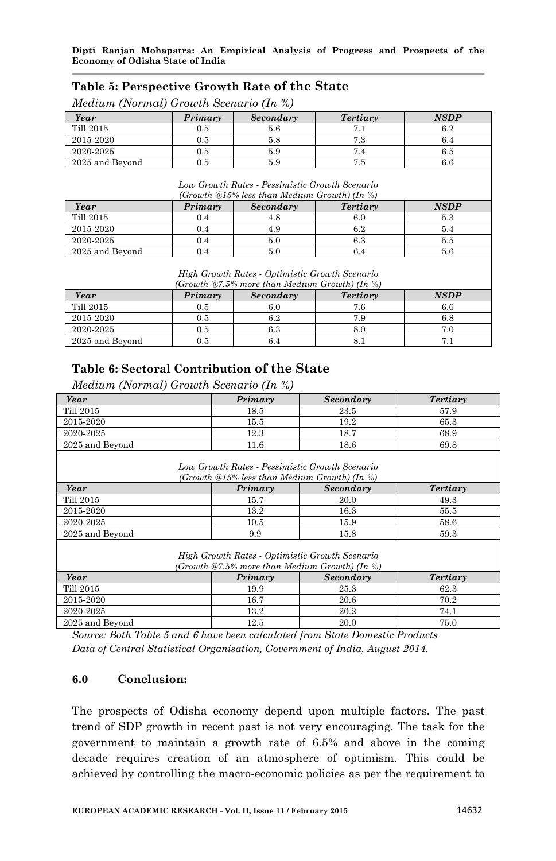### **Table 5: Perspective Growth Rate of the State**

### *Medium (Normal) Growth Scenario (In %)*

| Year            | Primary | Secondary                                                                                                   | Tertiary | <b>NSDP</b> |
|-----------------|---------|-------------------------------------------------------------------------------------------------------------|----------|-------------|
| Till 2015       | 0.5     | 5.6                                                                                                         | 7.1      | 6.2         |
| 2015-2020       | 0.5     | 5.8                                                                                                         | 7.3      | 6.4         |
| 2020-2025       | 0.5     | 5.9                                                                                                         | 7.4      | 6.5         |
| 2025 and Beyond | 0.5     | 5.9                                                                                                         | 7.5      | 6.6         |
| Year            | Primary | Low Growth Rates - Pessimistic Growth Scenario<br>(Growth @15% less than Medium Growth) (In %)<br>Secondary | Tertiary | <b>NSDP</b> |
| Till 2015       | 0.4     | 4.8                                                                                                         | 6.0      | 5.3         |
| 2015-2020       | 0.4     | 4.9                                                                                                         | 6.2      | 5.4         |
| 2020-2025       | 0.4     | 5.0                                                                                                         | 6.3      | 5.5         |
| 2025 and Beyond | 0.4     | 5.0                                                                                                         | 6.4      | 5.6         |
|                 |         | High Growth Rates - Optimistic Growth Scenario<br>(Growth @7.5% more than Medium Growth) (In %)             |          |             |
| Year            | Primary | Secondary                                                                                                   | Tertiary | <b>NSDP</b> |
| Till 2015       | 0.5     | 6.0                                                                                                         | 7.6      | 6.6         |
| 2015-2020       | 0.5     | 6.2                                                                                                         | 7.9      | 6.8         |
| 2020-2025       | 0.5     | 6.3                                                                                                         | 8.0      | 7.0         |
| 2025 and Beyond | 0.5     | 6.4                                                                                                         | 8.1      | 7.1         |

# **Table 6: Sectoral Contribution of the State**

*Medium (Normal) Growth Scenario (In %)*

| Year                                                                                           | Primary                                                                                            | Secondary | Tertiary |  |  |  |  |  |
|------------------------------------------------------------------------------------------------|----------------------------------------------------------------------------------------------------|-----------|----------|--|--|--|--|--|
| Till 2015                                                                                      | 18.5                                                                                               | 23.5      | 57.9     |  |  |  |  |  |
| 2015-2020                                                                                      | 15.5                                                                                               | 19.2      | 65.3     |  |  |  |  |  |
| 2020-2025                                                                                      | 12.3                                                                                               | 18.7      | 68.9     |  |  |  |  |  |
| 2025 and Beyond                                                                                | 11.6                                                                                               | 18.6      | 69.8     |  |  |  |  |  |
| Low Growth Rates - Pessimistic Growth Scenario<br>(Growth @15% less than Medium Growth) (In %) |                                                                                                    |           |          |  |  |  |  |  |
| Year                                                                                           | Primary                                                                                            | Secondary | Tertiary |  |  |  |  |  |
| Till 2015                                                                                      | 15.7                                                                                               | 20.0      | 49.3     |  |  |  |  |  |
| 2015-2020                                                                                      | 13.2                                                                                               | 16.3      | 55.5     |  |  |  |  |  |
| 2020-2025                                                                                      | 10.5                                                                                               | 15.9      | 58.6     |  |  |  |  |  |
| 2025 and Beyond                                                                                | 9.9                                                                                                | 15.8      | 59.3     |  |  |  |  |  |
|                                                                                                | High Growth Rates - Optimistic Growth Scenario<br>(Growth $@7.5\%$ more than Medium Growth) (In %) |           |          |  |  |  |  |  |
| Year                                                                                           | Primary                                                                                            | Secondary | Tertiary |  |  |  |  |  |
| Till 2015                                                                                      | 19.9                                                                                               | 25.3      | 62.3     |  |  |  |  |  |
| 2015-2020                                                                                      | 16.7                                                                                               | 20.6      | 70.2     |  |  |  |  |  |
| 2020-2025                                                                                      | 13.2                                                                                               | 20.2      | 74.1     |  |  |  |  |  |
| 2025 and Beyond                                                                                | 12.5                                                                                               | 20.0      | 75.0     |  |  |  |  |  |

*Source: Both Table 5 and 6 have been calculated from State Domestic Products Data of Central Statistical Organisation, Government of India, August 2014.*

### **6.0 Conclusion:**

The prospects of Odisha economy depend upon multiple factors. The past trend of SDP growth in recent past is not very encouraging. The task for the government to maintain a growth rate of 6.5% and above in the coming decade requires creation of an atmosphere of optimism. This could be achieved by controlling the macro-economic policies as per the requirement to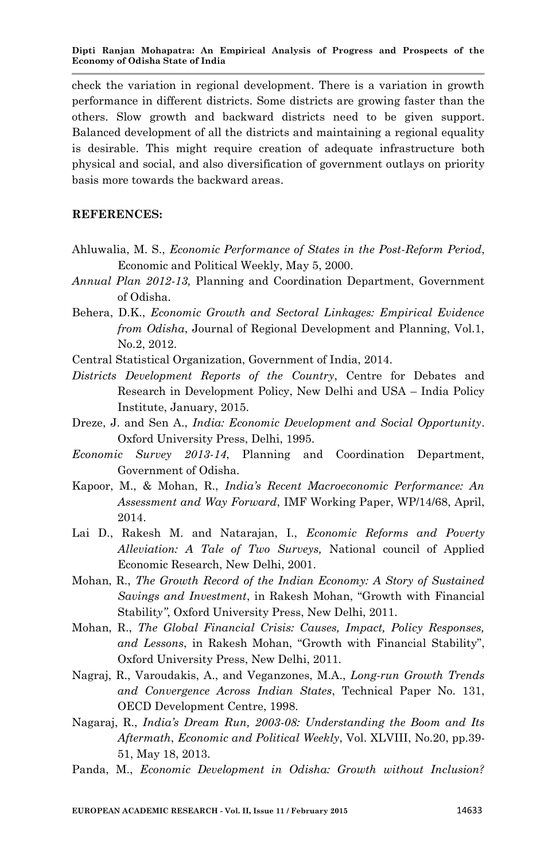check the variation in regional development. There is a variation in growth performance in different districts. Some districts are growing faster than the others. Slow growth and backward districts need to be given support. Balanced development of all the districts and maintaining a regional equality is desirable. This might require creation of adequate infrastructure both physical and social, and also diversification of government outlays on priority basis more towards the backward areas.

### **REFERENCES:**

- Ahluwalia, M. S., *Economic Performance of States in the Post-Reform Period*, Economic and Political Weekly, May 5, 2000.
- *Annual Plan 2012-13,* Planning and Coordination Department, Government of Odisha.
- Behera, D.K., *Economic Growth and Sectoral Linkages: Empirical Evidence from Odisha*, Journal of Regional Development and Planning, Vol.1, No.2, 2012.
- Central Statistical Organization, Government of India, 2014.
- *Districts Development Reports of the Country*, Centre for Debates and Research in Development Policy, New Delhi and USA – India Policy Institute, January, 2015.
- Dreze, J. and Sen A., *India: Economic Development and Social Opportunity*. Oxford University Press, Delhi, 1995.
- *Economic Survey 2013-14*, Planning and Coordination Department, Government of Odisha.
- Kapoor, M., & Mohan, R., *India's Recent Macroeconomic Performance: An Assessment and Way Forward*, IMF Working Paper, WP/14/68, April, 2014.
- Lai D., Rakesh M. and Natarajan, I., *Economic Reforms and Poverty Alleviation: A Tale of Two Surveys,* National council of Applied Economic Research, New Delhi, 2001.
- Mohan, R., *The Growth Record of the Indian Economy: A Story of Sustained Savings and Investment*, in Rakesh Mohan, "Growth with Financial Stabilit*y"*, Oxford University Press, New Delhi, 2011.
- Mohan, R., *The Global Financial Crisis: Causes, Impact, Policy Responses,*  and Lessons, in Rakesh Mohan, "Growth with Financial Stability", Oxford University Press, New Delhi, 2011.
- Nagraj, R., Varoudakis, A., and Veganzones, M.A., *Long-run Growth Trends and Convergence Across Indian States*, Technical Paper No. 131, OECD Development Centre, 1998.
- Nagaraj, R., *India's Dream Run, 2003-08: Understanding the Boom and Its Aftermath*, *Economic and Political Weekly*, Vol. XLVIII, No.20, pp.39- 51, May 18, 2013.
- Panda, M., *Economic Development in Odisha: Growth without Inclusion?*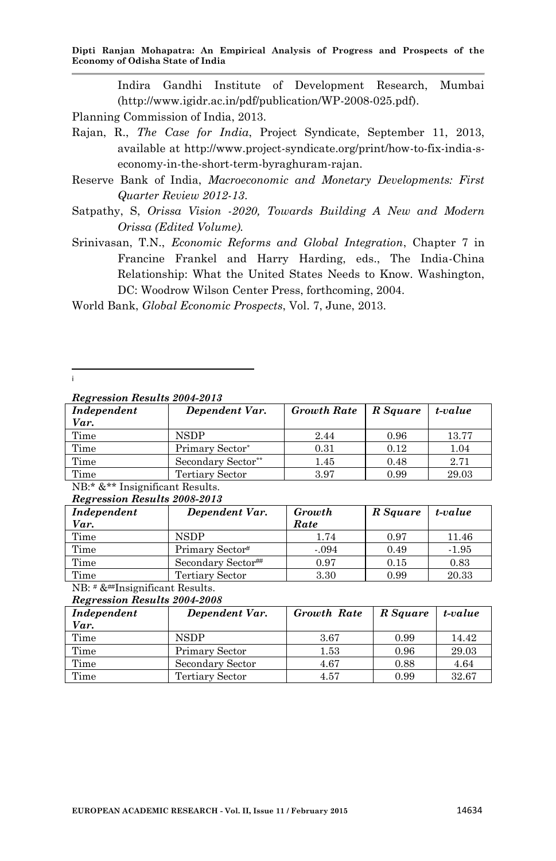Indira Gandhi Institute of Development Research, Mumbai (http://www.igidr.ac.in/pdf/publication/WP-2008-025.pdf).

- Planning Commission of India, 2013.
- Rajan, R., *The Case for India*, Project Syndicate, September 11, 2013, available at http://www.project-syndicate.org/print/how-to-fix-india-seconomy-in-the-short-term-byraghuram-rajan.
- Reserve Bank of India, *Macroeconomic and Monetary Developments: First Quarter Review 2012-13*.
- Satpathy, S, *Orissa Vision -2020, Towards Building A New and Modern Orissa (Edited Volume).*
- Srinivasan, T.N., *Economic Reforms and Global Integration*, Chapter 7 in Francine Frankel and Harry Harding, eds., The India-China Relationship: What the United States Needs to Know. Washington, DC: Woodrow Wilson Center Press, forthcoming, 2004.

World Bank, *Global Economic Prospects*, Vol. 7, June, 2013.

i

*Regression Results 2004-2013*

| Independent<br>Var.                                                                                                                       | Dependent Var.     | Growth Rate   R Square |      | t-value |
|-------------------------------------------------------------------------------------------------------------------------------------------|--------------------|------------------------|------|---------|
| Time                                                                                                                                      | <b>NSDP</b>        | 2.44                   | 0.96 | 13.77   |
| Time                                                                                                                                      | Primary Sector*    | 0.31                   | 0.12 | 1.04    |
| Time                                                                                                                                      | Secondary Sector** | 1.45                   | 0.48 | 2.71    |
| Time                                                                                                                                      | Tertiary Sector    | 3.97                   | 0.99 | 29.03   |
| $\mathbf{A}$ , $\mathbf{A}$ , $\mathbf{A}$ , $\mathbf{A}$ , $\mathbf{A}$ , $\mathbf{A}$ , $\mathbf{A}$ , $\mathbf{A}$<br>$\cdot$ $\alpha$ |                    |                        |      |         |

NB:\* &\*\* Insignificant Results. *Regression Results 2008-2013*

| Independent<br>Var.                            | Dependent Var.             | Growth<br>Rate | R Square | t-value |  |  |  |  |  |
|------------------------------------------------|----------------------------|----------------|----------|---------|--|--|--|--|--|
| Time                                           | <b>NSDP</b>                | 1.74           | 0.97     | 11.46   |  |  |  |  |  |
| Time                                           | Primary Sector#            | $-.094$        | 0.49     | $-1.95$ |  |  |  |  |  |
| Time                                           | Secondary Sector##         | 0.97           | 0.15     | 0.83    |  |  |  |  |  |
| Time                                           | Tertiary Sector            | 3.30           | 0.99     | 20.33   |  |  |  |  |  |
| $\cdot$ $\sim$<br>$\lambda$ TD $\mu$ 0 $\mu$ T | $\sqrt{2}$<br>$\mathbf{u}$ |                |          |         |  |  |  |  |  |

NB: # &##Insignificant Results. *Regression Results 2004-2008*

| Independent<br>Var. | Dependent Var.   | <b>Growth Rate</b> | R Square | t-value |
|---------------------|------------------|--------------------|----------|---------|
| Time                | NSDP.            | 3.67               | 0.99     | 14.42   |
| Time                | Primary Sector   | 1.53               | 0.96     | 29.03   |
| Time                | Secondary Sector | 4.67               | 0.88     | 4.64    |
| Time                | Tertiary Sector  | 4.57               | 0.99     | 32.67   |